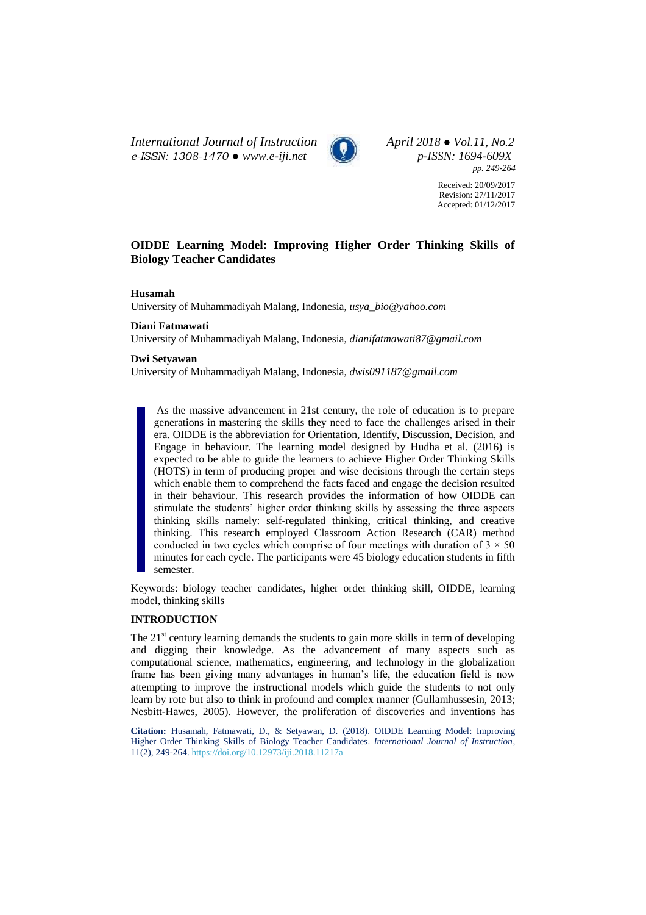*International Journal of Instruction April 2018 ● Vol.11, No.2 e-ISSN: 1308-1470 ● [www.e-iji.net](http://www.e-iji.net/) p-ISSN: 1694-609X*



*pp. 249-264*

Received: 20/09/2017 Revision: 27/11/2017 Accepted: 01/12/2017

## **OIDDE Learning Model: Improving Higher Order Thinking Skills of Biology Teacher Candidates**

## **Husamah**

University of Muhammadiyah Malang, Indonesia, *usya\_bio@yahoo.com*

## **Diani Fatmawati**

University of Muhammadiyah Malang, Indonesia, *dianifatmawati87@gmail.com*

#### **Dwi Setyawan**

University of Muhammadiyah Malang, Indonesia, *dwis091187@gmail.com*

As the massive advancement in 21st century, the role of education is to prepare generations in mastering the skills they need to face the challenges arised in their era. OIDDE is the abbreviation for Orientation, Identify, Discussion, Decision, and Engage in behaviour. The learning model designed by Hudha et al. (2016) is expected to be able to guide the learners to achieve Higher Order Thinking Skills (HOTS) in term of producing proper and wise decisions through the certain steps which enable them to comprehend the facts faced and engage the decision resulted in their behaviour. This research provides the information of how OIDDE can stimulate the students' higher order thinking skills by assessing the three aspects thinking skills namely: self-regulated thinking, critical thinking, and creative thinking. This research employed Classroom Action Research (CAR) method conducted in two cycles which comprise of four meetings with duration of  $3 \times 50$ minutes for each cycle. The participants were 45 biology education students in fifth semester.

Keywords: biology teacher candidates, higher order thinking skill, OIDDE, learning model, thinking skills

## **INTRODUCTION**

The  $21<sup>st</sup>$  century learning demands the students to gain more skills in term of developing and digging their knowledge. As the advancement of many aspects such as computational science, mathematics, engineering, and technology in the globalization frame has been giving many advantages in human's life, the education field is now attempting to improve the instructional models which guide the students to not only learn by rote but also to think in profound and complex manner (Gullamhussesin, 2013; Nesbitt-Hawes, 2005). However, the proliferation of discoveries and inventions has

**Citation:** Husamah, Fatmawati, D., & Setyawan, D. (2018). OIDDE Learning Model: Improving Higher Order Thinking Skills of Biology Teacher Candidates. *International Journal of Instruction*, 11(2), 249-264. <https://doi.org/10.12973/iji.2018.11217a>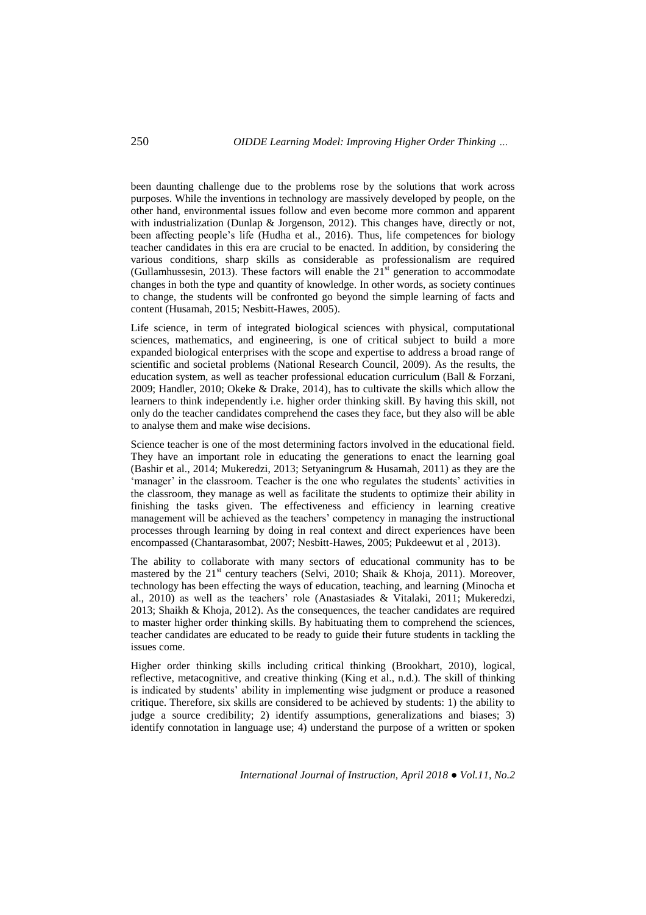been daunting challenge due to the problems rose by the solutions that work across purposes. While the inventions in technology are massively developed by people, on the other hand, environmental issues follow and even become more common and apparent with industrialization (Dunlap & Jorgenson, 2012). This changes have, directly or not, been affecting people's life (Hudha et al., 2016). Thus, life competences for biology teacher candidates in this era are crucial to be enacted. In addition, by considering the various conditions, sharp skills as considerable as professionalism are required (Gullamhussesin, 2013). These factors will enable the  $21<sup>st</sup>$  generation to accommodate changes in both the type and quantity of knowledge. In other words, as society continues to change, the students will be confronted go beyond the simple learning of facts and content (Husamah, 2015; Nesbitt-Hawes, 2005).

Life science, in term of integrated biological sciences with physical, computational sciences, mathematics, and engineering, is one of critical subject to build a more expanded biological enterprises with the scope and expertise to address a broad range of scientific and societal problems (National Research Council, 2009). As the results, the education system, as well as teacher professional education curriculum (Ball & Forzani, 2009; Handler, 2010; Okeke & Drake, 2014), has to cultivate the skills which allow the learners to think independently i.e. higher order thinking skill. By having this skill, not only do the teacher candidates comprehend the cases they face, but they also will be able to analyse them and make wise decisions.

Science teacher is one of the most determining factors involved in the educational field. They have an important role in educating the generations to enact the learning goal (Bashir et al., 2014; Mukeredzi, 2013; Setyaningrum & Husamah, 2011) as they are the 'manager' in the classroom. Teacher is the one who regulates the students' activities in the classroom, they manage as well as facilitate the students to optimize their ability in finishing the tasks given. The effectiveness and efficiency in learning creative management will be achieved as the teachers' competency in managing the instructional processes through learning by doing in real context and direct experiences have been encompassed (Chantarasombat, 2007; Nesbitt-Hawes, 2005; Pukdeewut et al , 2013).

The ability to collaborate with many sectors of educational community has to be mastered by the  $21<sup>st</sup>$  century teachers (Selvi, 2010; Shaik & Khoja, 2011). Moreover, technology has been effecting the ways of education, teaching, and learning (Minocha et al., 2010) as well as the teachers' role (Anastasiades & Vitalaki, 2011; Mukeredzi, 2013; Shaikh & Khoja, 2012). As the consequences, the teacher candidates are required to master higher order thinking skills. By habituating them to comprehend the sciences, teacher candidates are educated to be ready to guide their future students in tackling the issues come.

Higher order thinking skills including critical thinking (Brookhart, 2010), logical, reflective, metacognitive, and creative thinking (King et al., n.d.)*.* The skill of thinking is indicated by students' ability in implementing wise judgment or produce a reasoned critique. Therefore, six skills are considered to be achieved by students: 1) the ability to judge a source credibility; 2) identify assumptions, generalizations and biases; 3) identify connotation in language use; 4) understand the purpose of a written or spoken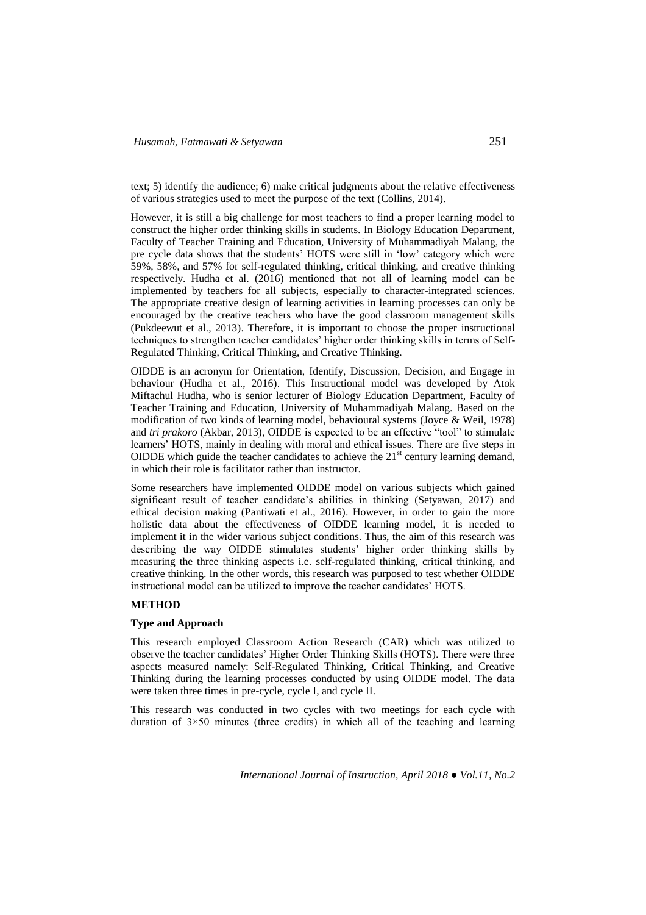text; 5) identify the audience; 6) make critical judgments about the relative effectiveness of various strategies used to meet the purpose of the text (Collins, 2014).

However, it is still a big challenge for most teachers to find a proper learning model to construct the higher order thinking skills in students. In Biology Education Department, Faculty of Teacher Training and Education, University of Muhammadiyah Malang, the pre cycle data shows that the students' HOTS were still in 'low' category which were 59%, 58%, and 57% for self-regulated thinking, critical thinking, and creative thinking respectively. Hudha et al. (2016) mentioned that not all of learning model can be implemented by teachers for all subjects, especially to character-integrated sciences. The appropriate creative design of learning activities in learning processes can only be encouraged by the creative teachers who have the good classroom management skills (Pukdeewut et al., 2013). Therefore, it is important to choose the proper instructional techniques to strengthen teacher candidates' higher order thinking skills in terms of Self-Regulated Thinking, Critical Thinking, and Creative Thinking.

OIDDE is an acronym for Orientation, Identify, Discussion, Decision, and Engage in behaviour (Hudha et al., 2016). This Instructional model was developed by Atok Miftachul Hudha, who is senior lecturer of Biology Education Department, Faculty of Teacher Training and Education, University of Muhammadiyah Malang. Based on the modification of two kinds of learning model, behavioural systems (Joyce & Weil, 1978) and *tri prakoro* (Akbar, 2013), OIDDE is expected to be an effective "tool" to stimulate learners' HOTS, mainly in dealing with moral and ethical issues. There are five steps in OIDDE which guide the teacher candidates to achieve the  $21<sup>st</sup>$  century learning demand, in which their role is facilitator rather than instructor.

Some researchers have implemented OIDDE model on various subjects which gained significant result of teacher candidate's abilities in thinking (Setyawan, 2017) and ethical decision making (Pantiwati et al., 2016). However, in order to gain the more holistic data about the effectiveness of OIDDE learning model, it is needed to implement it in the wider various subject conditions. Thus, the aim of this research was describing the way OIDDE stimulates students' higher order thinking skills by measuring the three thinking aspects i.e. self-regulated thinking, critical thinking, and creative thinking. In the other words, this research was purposed to test whether OIDDE instructional model can be utilized to improve the teacher candidates' HOTS.

## **METHOD**

## **Type and Approach**

This research employed Classroom Action Research (CAR) which was utilized to observe the teacher candidates' Higher Order Thinking Skills (HOTS). There were three aspects measured namely: Self-Regulated Thinking, Critical Thinking, and Creative Thinking during the learning processes conducted by using OIDDE model. The data were taken three times in pre-cycle, cycle I, and cycle II.

This research was conducted in two cycles with two meetings for each cycle with duration of  $3\times50$  minutes (three credits) in which all of the teaching and learning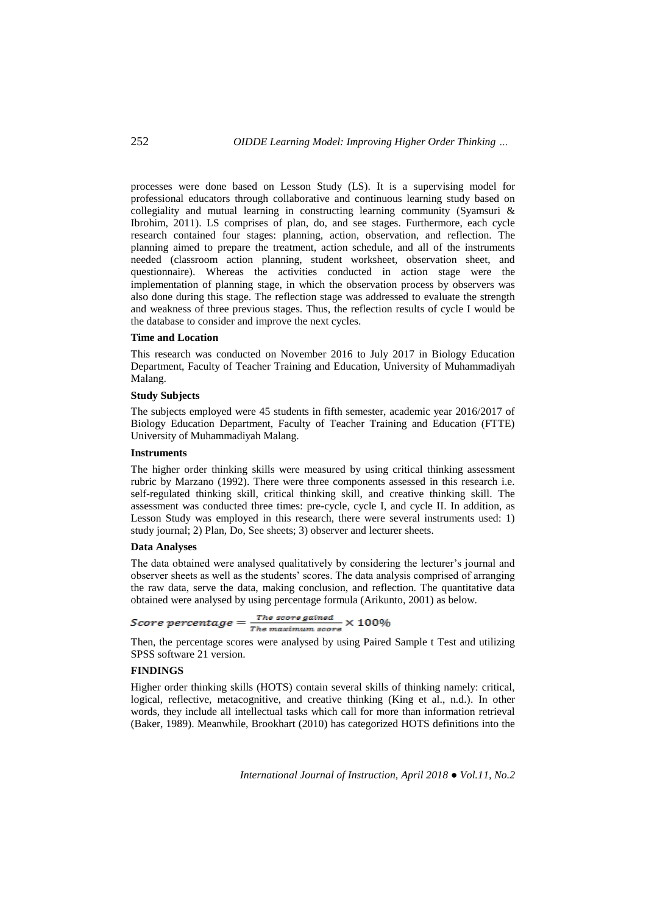processes were done based on Lesson Study (LS). It is a supervising model for professional educators through collaborative and continuous learning study based on collegiality and mutual learning in constructing learning community (Syamsuri & Ibrohim, 2011). LS comprises of plan, do, and see stages. Furthermore, each cycle research contained four stages: planning, action, observation, and reflection. The planning aimed to prepare the treatment, action schedule, and all of the instruments needed (classroom action planning, student worksheet, observation sheet, and questionnaire). Whereas the activities conducted in action stage were the implementation of planning stage, in which the observation process by observers was also done during this stage. The reflection stage was addressed to evaluate the strength and weakness of three previous stages. Thus, the reflection results of cycle I would be the database to consider and improve the next cycles.

#### **Time and Location**

This research was conducted on November 2016 to July 2017 in Biology Education Department, Faculty of Teacher Training and Education, University of Muhammadiyah Malang.

#### **Study Subjects**

The subjects employed were 45 students in fifth semester, academic year 2016/2017 of Biology Education Department, Faculty of Teacher Training and Education (FTTE) University of Muhammadiyah Malang.

## **Instruments**

The higher order thinking skills were measured by using critical thinking assessment rubric by Marzano (1992). There were three components assessed in this research i.e. self-regulated thinking skill, critical thinking skill, and creative thinking skill. The assessment was conducted three times: pre-cycle, cycle I, and cycle II. In addition, as Lesson Study was employed in this research, there were several instruments used: 1) study journal; 2) Plan, Do, See sheets; 3) observer and lecturer sheets.

#### **Data Analyses**

The data obtained were analysed qualitatively by considering the lecturer's journal and observer sheets as well as the students' scores. The data analysis comprised of arranging the raw data, serve the data, making conclusion, and reflection. The quantitative data obtained were analysed by using percentage formula (Arikunto, 2001) as below.

# $Score\,\,percentage = \frac{The\,\,score\,\,gained}{The\,\,maximum\,\,score} \times 100\%$

Then, the percentage scores were analysed by using Paired Sample t Test and utilizing SPSS software 21 version.

## **FINDINGS**

Higher order thinking skills (HOTS) contain several skills of thinking namely: critical, logical, reflective, metacognitive, and creative thinking (King et al., n.d.). In other words, they include all intellectual tasks which call for more than information retrieval (Baker, 1989). Meanwhile, Brookhart (2010) has categorized HOTS definitions into the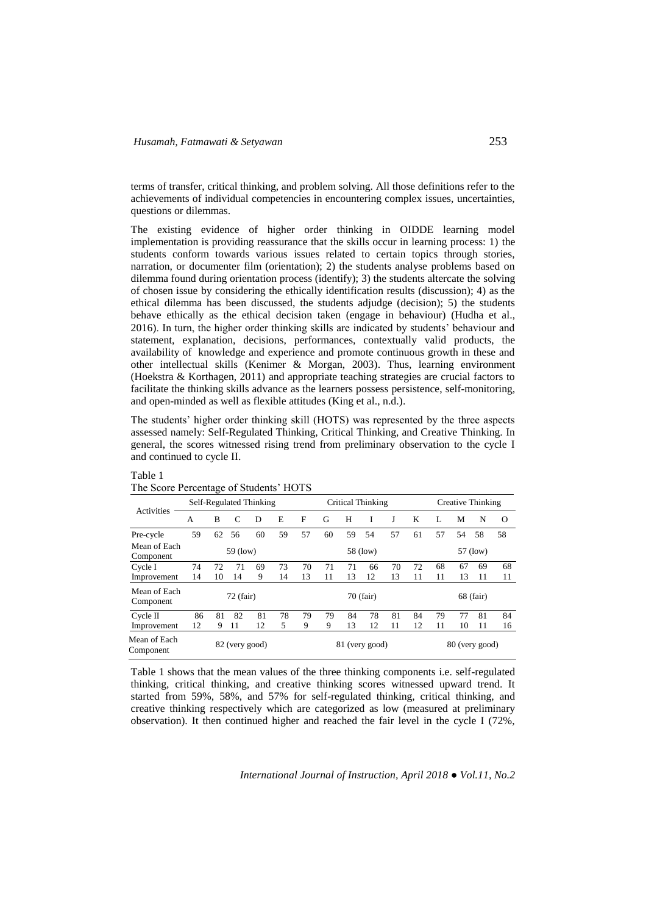terms of transfer, critical thinking, and problem solving. All those definitions refer to the achievements of individual competencies in encountering complex issues, uncertainties, questions or dilemmas.

The existing evidence of higher order thinking in OIDDE learning model implementation is providing reassurance that the skills occur in learning process: 1) the students conform towards various issues related to certain topics through stories, narration, or documenter film (orientation); 2) the students analyse problems based on dilemma found during orientation process (identify); 3) the students altercate the solving of chosen issue by considering the ethically identification results (discussion); 4) as the ethical dilemma has been discussed, the students adjudge (decision); 5) the students behave ethically as the ethical decision taken (engage in behaviour) (Hudha et al., 2016). In turn, the higher order thinking skills are indicated by students' behaviour and statement, explanation, decisions, performances, contextually valid products, the availability of knowledge and experience and promote continuous growth in these and other intellectual skills (Kenimer & Morgan, 2003). Thus, learning environment (Hoekstra & Korthagen, 2011) and appropriate teaching strategies are crucial factors to facilitate the thinking skills advance as the learners possess persistence, self-monitoring, and open-minded as well as flexible attitudes (King et al., n.d.).

The students' higher order thinking skill (HOTS) was represented by the three aspects assessed namely: Self-Regulated Thinking, Critical Thinking, and Creative Thinking. In general, the scores witnessed rising trend from preliminary observation to the cycle I and continued to cycle II.

|                           | $\ldots \ldots \ldots$  |                                                    | $0 - 0$ versions |    |          |    |                   |    |           |    |    |                   |    |             |          |
|---------------------------|-------------------------|----------------------------------------------------|------------------|----|----------|----|-------------------|----|-----------|----|----|-------------------|----|-------------|----------|
| Activities                | Self-Regulated Thinking |                                                    |                  |    |          |    | Critical Thinking |    |           |    |    | Creative Thinking |    |             |          |
|                           | A                       | B                                                  | C                | D  | E        | F  | G                 | H  |           | J  | K  | L                 | M  | N           | $\Omega$ |
| Pre-cycle                 | 59                      | 62                                                 | 56               | 60 | 59       | 57 | 60                | 59 | 54        | 57 | 61 | 57                | 54 | 58          | 58       |
| Mean of Each<br>Component | 59 (low)                |                                                    |                  |    | 58 (low) |    |                   |    | 57 (low)  |    |    |                   |    |             |          |
| Cycle I                   | 74                      | 72                                                 | 71               | 69 | 73       | 70 | 71                | 71 | 66        | 70 | 72 | 68                | 67 | 69          | 68       |
| Improvement               | 14                      | 10                                                 | 14               | 9  | 14       | 13 | 11                | 13 | 12        | 13 | 11 | 11                | 13 | 11          | 11       |
| Mean of Each<br>Component |                         |                                                    | $72$ (fair)      |    |          |    |                   |    | 70 (fair) |    |    |                   |    | $68$ (fair) |          |
| $C$ vcle $\Pi$            | 86                      | 81                                                 | 82               | 81 | 78       | 79 | 79                | 84 | 78        | 81 | 84 | 79                | 77 | 81          | 84       |
| Improvement               | 12                      | 9                                                  | 11               | 12 | 5        | 9  | 9                 | 13 | 12        | 11 | 12 | 11                | 10 | 11          | 16       |
| Mean of Each<br>Component |                         | 80 (very good)<br>82 (very good)<br>81 (very good) |                  |    |          |    |                   |    |           |    |    |                   |    |             |          |

Table 1 The Score Percentage of Students' HOTS

Table 1 shows that the mean values of the three thinking components i.e. self-regulated thinking, critical thinking, and creative thinking scores witnessed upward trend. It started from 59%, 58%, and 57% for self-regulated thinking, critical thinking, and creative thinking respectively which are categorized as low (measured at preliminary observation). It then continued higher and reached the fair level in the cycle I (72%,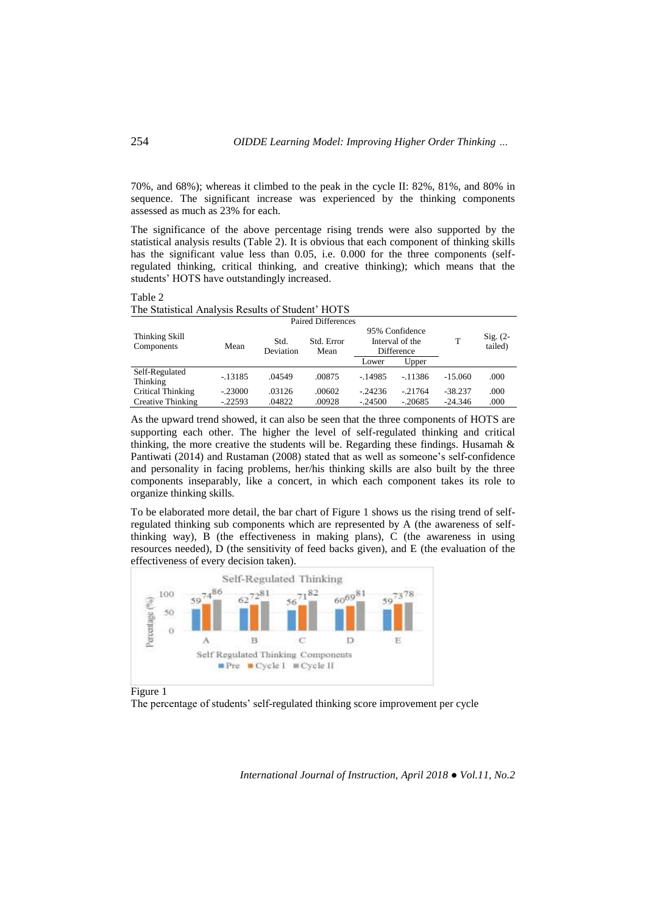70%, and 68%); whereas it climbed to the peak in the cycle II: 82%, 81%, and 80% in sequence. The significant increase was experienced by the thinking components assessed as much as 23% for each.

The significance of the above percentage rising trends were also supported by the statistical analysis results (Table 2). It is obvious that each component of thinking skills has the significant value less than 0.05, i.e. 0.000 for the three components (selfregulated thinking, critical thinking, and creative thinking); which means that the students' HOTS have outstandingly increased.

Table 2

| The Statistical Analysis Results of Student' HOTS |  |  |
|---------------------------------------------------|--|--|
|---------------------------------------------------|--|--|

| Paired Differences           |           |                   |                    |           |                                                 |           |                       |  |  |  |  |
|------------------------------|-----------|-------------------|--------------------|-----------|-------------------------------------------------|-----------|-----------------------|--|--|--|--|
| Thinking Skill<br>Components | Mean      | Std.<br>Deviation | Std. Error<br>Mean |           | 95% Confidence<br>Interval of the<br>Difference |           | $Sig. (2-$<br>tailed) |  |  |  |  |
|                              |           |                   |                    | Lower     | Upper                                           |           |                       |  |  |  |  |
| Self-Regulated<br>Thinking   | $-13185$  | .04549            | .00875             | $-14985$  | $-11386$                                        | $-15.060$ | .000                  |  |  |  |  |
| Critical Thinking            | $-.23000$ | .03126            | .00602             | $-.24236$ | $-21764$                                        | $-38.237$ | .000                  |  |  |  |  |
| Creative Thinking            | $-22593$  | .04822            | .00928             | $-24500$  | $-20685$                                        | $-24.346$ | .000                  |  |  |  |  |

As the upward trend showed, it can also be seen that the three components of HOTS are supporting each other. The higher the level of self-regulated thinking and critical thinking, the more creative the students will be. Regarding these findings. Husamah & Pantiwati (2014) and Rustaman (2008) stated that as well as someone's self-confidence and personality in facing problems, her/his thinking skills are also built by the three components inseparably, like a concert, in which each component takes its role to organize thinking skills.

To be elaborated more detail, the bar chart of Figure 1 shows us the rising trend of selfregulated thinking sub components which are represented by A (the awareness of selfthinking way), B (the effectiveness in making plans), C (the awareness in using resources needed), D (the sensitivity of feed backs given), and E (the evaluation of the effectiveness of every decision taken).



Figure 1

The percentage of students' self-regulated thinking score improvement per cycle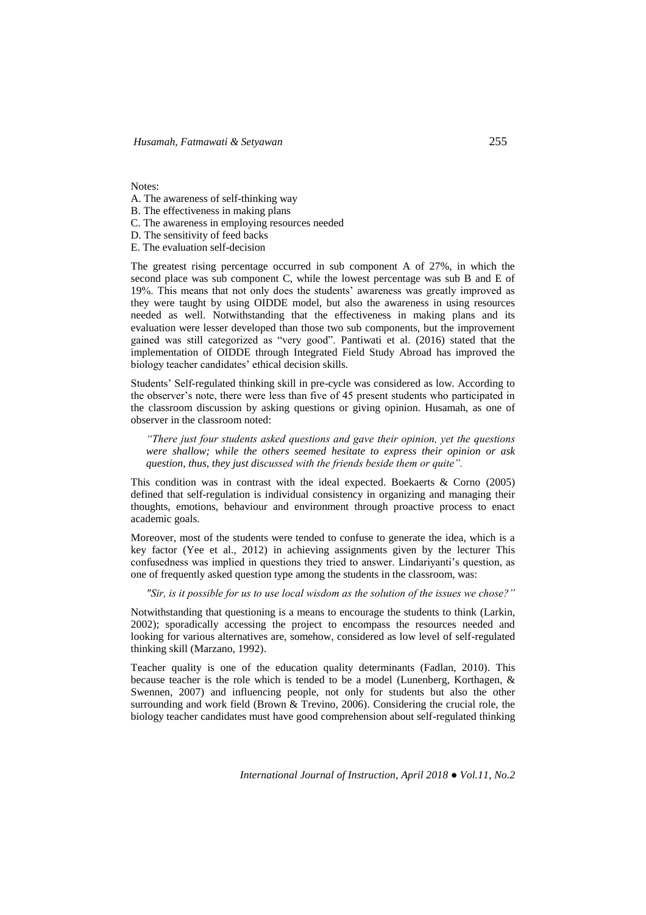Notes:

- A. The awareness of self-thinking way
- B. The effectiveness in making plans
- C. The awareness in employing resources needed
- D. The sensitivity of feed backs
- E. The evaluation self-decision

The greatest rising percentage occurred in sub component A of 27%, in which the second place was sub component C, while the lowest percentage was sub B and E of 19%. This means that not only does the students' awareness was greatly improved as they were taught by using OIDDE model, but also the awareness in using resources needed as well. Notwithstanding that the effectiveness in making plans and its evaluation were lesser developed than those two sub components, but the improvement gained was still categorized as "very good". Pantiwati et al. (2016) stated that the implementation of OIDDE through Integrated Field Study Abroad has improved the biology teacher candidates' ethical decision skills.

Students' Self-regulated thinking skill in pre-cycle was considered as low. According to the observer's note, there were less than five of 45 present students who participated in the classroom discussion by asking questions or giving opinion. Husamah, as one of observer in the classroom noted:

*"There just four students asked questions and gave their opinion, yet the questions were shallow; while the others seemed hesitate to express their opinion or ask question, thus, they just discussed with the friends beside them or quite".* 

This condition was in contrast with the ideal expected. Boekaerts & Corno (2005) defined that self-regulation is individual consistency in organizing and managing their thoughts, emotions, behaviour and environment through proactive process to enact academic goals.

Moreover, most of the students were tended to confuse to generate the idea, which is a key factor (Yee et al., 2012) in achieving assignments given by the lecturer This confusedness was implied in questions they tried to answer. Lindariyanti's question, as one of frequently asked question type among the students in the classroom, was:

*"Sir, is it possible for us to use local wisdom as the solution of the issues we chose?"*

Notwithstanding that questioning is a means to encourage the students to think (Larkin, 2002); sporadically accessing the project to encompass the resources needed and looking for various alternatives are, somehow, considered as low level of self-regulated thinking skill (Marzano, 1992).

Teacher quality is one of the education quality determinants (Fadlan, 2010). This because teacher is the role which is tended to be a model (Lunenberg, Korthagen, & Swennen, 2007) and influencing people, not only for students but also the other surrounding and work field (Brown & Trevino, 2006). Considering the crucial role, the biology teacher candidates must have good comprehension about self-regulated thinking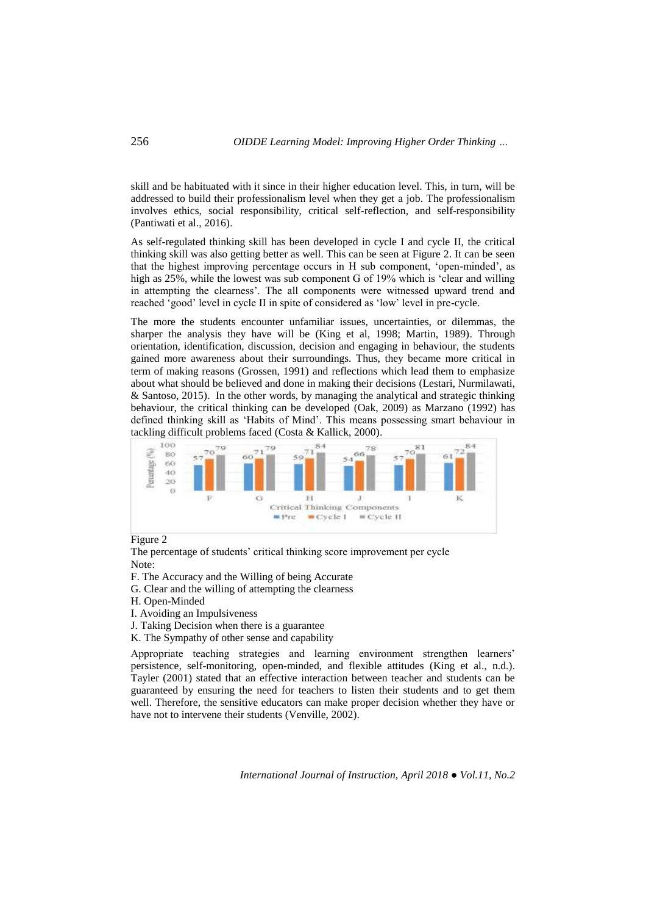skill and be habituated with it since in their higher education level. This, in turn, will be addressed to build their professionalism level when they get a job. The professionalism involves ethics, social responsibility, critical self-reflection, and self-responsibility (Pantiwati et al., 2016).

As self-regulated thinking skill has been developed in cycle I and cycle II, the critical thinking skill was also getting better as well. This can be seen at Figure 2. It can be seen that the highest improving percentage occurs in H sub component, 'open-minded', as high as 25%, while the lowest was sub component G of 19% which is 'clear and willing in attempting the clearness'. The all components were witnessed upward trend and reached 'good' level in cycle II in spite of considered as 'low' level in pre-cycle.

The more the students encounter unfamiliar issues, uncertainties, or dilemmas, the sharper the analysis they have will be (King et al, 1998; Martin, 1989). Through orientation, identification, discussion, decision and engaging in behaviour, the students gained more awareness about their surroundings. Thus, they became more critical in term of making reasons (Grossen, 1991) and reflections which lead them to emphasize about what should be believed and done in making their decisions (Lestari, Nurmilawati, & Santoso, 2015). In the other words, by managing the analytical and strategic thinking behaviour, the critical thinking can be developed (Oak, 2009) as Marzano (1992) has defined thinking skill as 'Habits of Mind'. This means possessing smart behaviour in tackling difficult problems faced (Costa & Kallick, 2000).



## Figure 2

The percentage of students' critical thinking score improvement per cycle Note:

- F. The Accuracy and the Willing of being Accurate
- G. Clear and the willing of attempting the clearness
- H. Open-Minded
- I. Avoiding an Impulsiveness
- J. Taking Decision when there is a guarantee
- K. The Sympathy of other sense and capability

Appropriate teaching strategies and learning environment strengthen learners' persistence, self-monitoring, open-minded, and flexible attitudes (King et al., n.d.). Tayler (2001) stated that an effective interaction between teacher and students can be guaranteed by ensuring the need for teachers to listen their students and to get them well. Therefore, the sensitive educators can make proper decision whether they have or have not to intervene their students (Venville, 2002).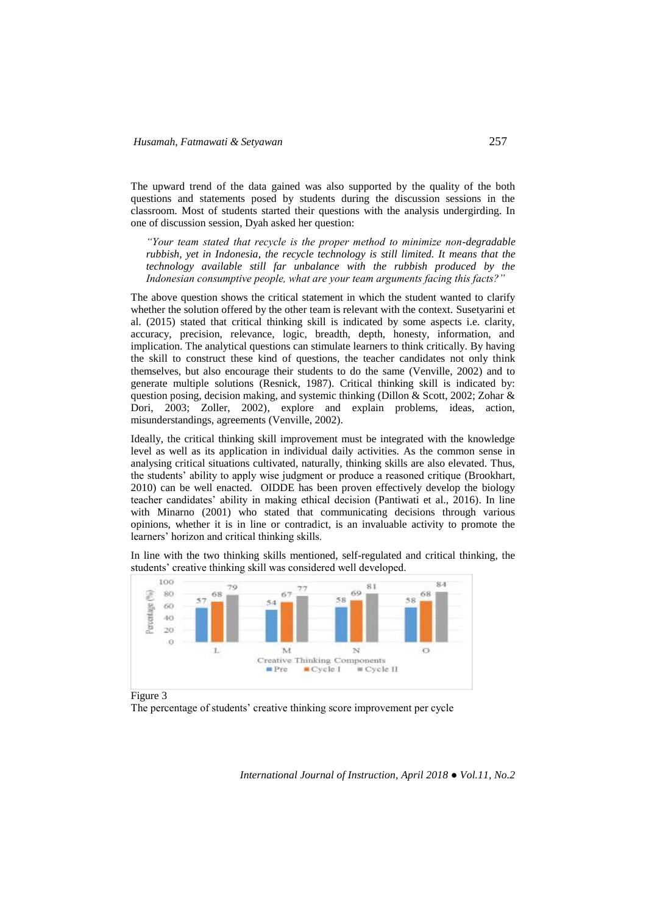The upward trend of the data gained was also supported by the quality of the both questions and statements posed by students during the discussion sessions in the classroom. Most of students started their questions with the analysis undergirding. In one of discussion session, Dyah asked her question:

*"Your team stated that recycle is the proper method to minimize non-degradable rubbish, yet in Indonesia, the recycle technology is still limited. It means that the technology available still far unbalance with the rubbish produced by the Indonesian consumptive people, what are your team arguments facing this facts?"* 

The above question shows the critical statement in which the student wanted to clarify whether the solution offered by the other team is relevant with the context. Susetyarini et al. (2015) stated that critical thinking skill is indicated by some aspects i.e. clarity, accuracy, precision, relevance, logic, breadth, depth, honesty, information, and implication. The analytical questions can stimulate learners to think critically. By having the skill to construct these kind of questions, the teacher candidates not only think themselves, but also encourage their students to do the same (Venville, 2002) and to generate multiple solutions (Resnick, 1987). Critical thinking skill is indicated by: question posing, decision making, and systemic thinking (Dillon & Scott, 2002; Zohar & Dori, 2003; Zoller, 2002), explore and explain problems, ideas, action, misunderstandings, agreements (Venville, 2002).

Ideally, the critical thinking skill improvement must be integrated with the knowledge level as well as its application in individual daily activities. As the common sense in analysing critical situations cultivated, naturally, thinking skills are also elevated. Thus, the students' ability to apply wise judgment or produce a reasoned critique (Brookhart, 2010) can be well enacted. OIDDE has been proven effectively develop the biology teacher candidates' ability in making ethical decision (Pantiwati et al., 2016). In line with Minarno (2001) who stated that communicating decisions through various opinions, whether it is in line or contradict, is an invaluable activity to promote the learners' horizon and critical thinking skills.

In line with the two thinking skills mentioned, self-regulated and critical thinking, the students' creative thinking skill was considered well developed.



Figure 3

The percentage of students' creative thinking score improvement per cycle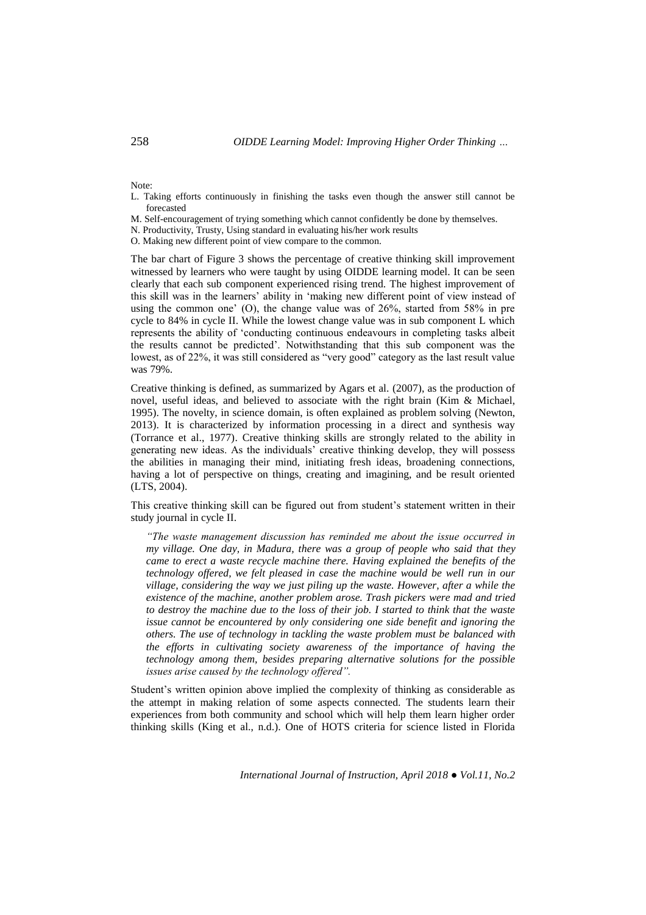Note:

- L. Taking efforts continuously in finishing the tasks even though the answer still cannot be forecasted
- M. Self-encouragement of trying something which cannot confidently be done by themselves.
- N. Productivity, Trusty, Using standard in evaluating his/her work results
- O. Making new different point of view compare to the common.

The bar chart of Figure 3 shows the percentage of creative thinking skill improvement witnessed by learners who were taught by using OIDDE learning model. It can be seen clearly that each sub component experienced rising trend. The highest improvement of this skill was in the learners' ability in 'making new different point of view instead of using the common one' (O), the change value was of 26%, started from 58% in pre cycle to 84% in cycle II. While the lowest change value was in sub component L which represents the ability of 'conducting continuous endeavours in completing tasks albeit the results cannot be predicted'. Notwithstanding that this sub component was the lowest, as of 22%, it was still considered as "very good" category as the last result value was 79%.

Creative thinking is defined, as summarized by Agars et al. (2007), as the production of novel, useful ideas, and believed to associate with the right brain (Kim & Michael, 1995). The novelty, in science domain, is often explained as problem solving (Newton, 2013). It is characterized by information processing in a direct and synthesis way (Torrance et al., 1977). Creative thinking skills are strongly related to the ability in generating new ideas. As the individuals' creative thinking develop, they will possess the abilities in managing their mind, initiating fresh ideas, broadening connections, having a lot of perspective on things, creating and imagining, and be result oriented (LTS, 2004).

This creative thinking skill can be figured out from student's statement written in their study journal in cycle II.

*"The waste management discussion has reminded me about the issue occurred in my village. One day, in Madura, there was a group of people who said that they came to erect a waste recycle machine there. Having explained the benefits of the technology offered, we felt pleased in case the machine would be well run in our village, considering the way we just piling up the waste. However, after a while the existence of the machine, another problem arose. Trash pickers were mad and tried to destroy the machine due to the loss of their job. I started to think that the waste issue cannot be encountered by only considering one side benefit and ignoring the others. The use of technology in tackling the waste problem must be balanced with the efforts in cultivating society awareness of the importance of having the technology among them, besides preparing alternative solutions for the possible issues arise caused by the technology offered".* 

Student's written opinion above implied the complexity of thinking as considerable as the attempt in making relation of some aspects connected. The students learn their experiences from both community and school which will help them learn higher order thinking skills (King et al., n.d.). One of HOTS criteria for science listed in Florida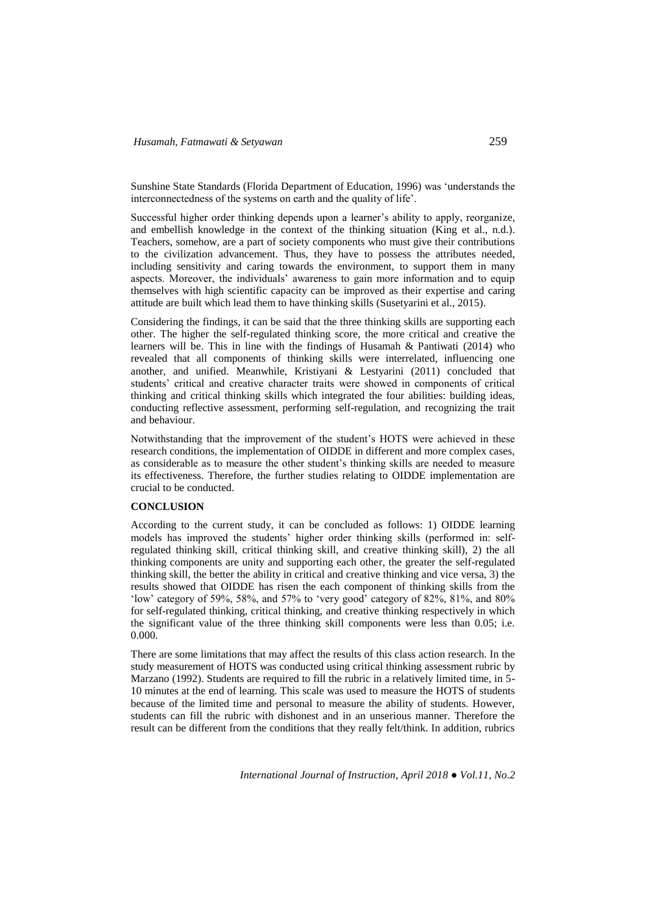Sunshine State Standards (Florida Department of Education, 1996) was 'understands the interconnectedness of the systems on earth and the quality of life'.

Successful higher order thinking depends upon a learner's ability to apply, reorganize, and embellish knowledge in the context of the thinking situation (King et al., n.d.). Teachers, somehow, are a part of society components who must give their contributions to the civilization advancement. Thus, they have to possess the attributes needed, including sensitivity and caring towards the environment, to support them in many aspects. Moreover, the individuals' awareness to gain more information and to equip themselves with high scientific capacity can be improved as their expertise and caring attitude are built which lead them to have thinking skills (Susetyarini et al., 2015).

Considering the findings, it can be said that the three thinking skills are supporting each other. The higher the self-regulated thinking score, the more critical and creative the learners will be. This in line with the findings of Husamah & Pantiwati (2014) who revealed that all components of thinking skills were interrelated, influencing one another, and unified. Meanwhile, Kristiyani & Lestyarini (2011) concluded that students' critical and creative character traits were showed in components of critical thinking and critical thinking skills which integrated the four abilities: building ideas, conducting reflective assessment, performing self-regulation, and recognizing the trait and behaviour.

Notwithstanding that the improvement of the student's HOTS were achieved in these research conditions, the implementation of OIDDE in different and more complex cases, as considerable as to measure the other student's thinking skills are needed to measure its effectiveness. Therefore, the further studies relating to OIDDE implementation are crucial to be conducted.

## **CONCLUSION**

According to the current study, it can be concluded as follows: 1) OIDDE learning models has improved the students' higher order thinking skills (performed in: selfregulated thinking skill, critical thinking skill, and creative thinking skill), 2) the all thinking components are unity and supporting each other, the greater the self-regulated thinking skill, the better the ability in critical and creative thinking and vice versa, 3) the results showed that OIDDE has risen the each component of thinking skills from the 'low' category of 59%, 58%, and 57% to 'very good' category of 82%, 81%, and 80% for self-regulated thinking, critical thinking, and creative thinking respectively in which the significant value of the three thinking skill components were less than 0.05; i.e. 0.000.

There are some limitations that may affect the results of this class action research. In the study measurement of HOTS was conducted using critical thinking assessment rubric by Marzano (1992). Students are required to fill the rubric in a relatively limited time, in 5- 10 minutes at the end of learning. This scale was used to measure the HOTS of students because of the limited time and personal to measure the ability of students. However, students can fill the rubric with dishonest and in an unserious manner. Therefore the result can be different from the conditions that they really felt/think. In addition, rubrics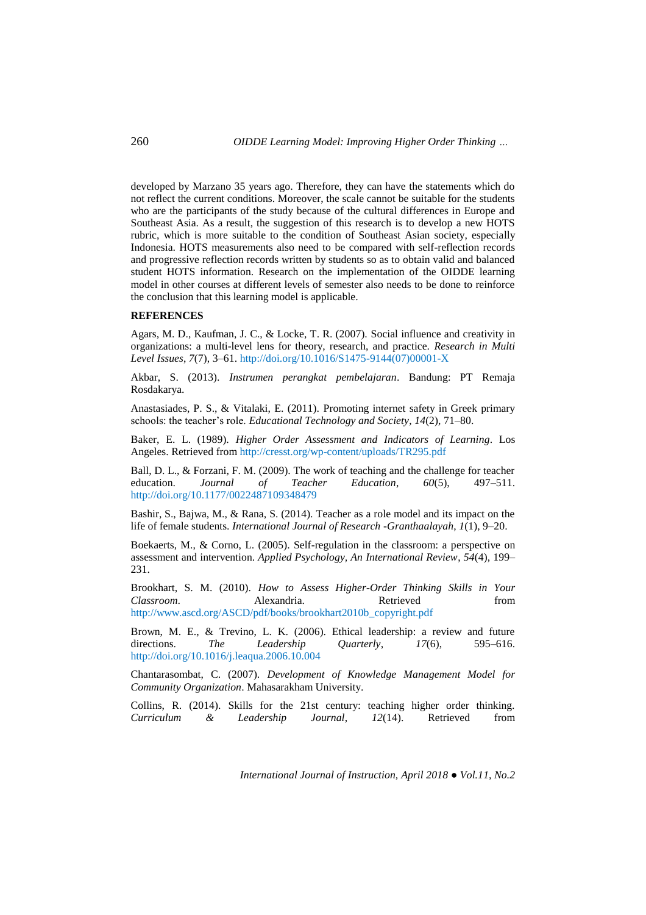developed by Marzano 35 years ago. Therefore, they can have the statements which do not reflect the current conditions. Moreover, the scale cannot be suitable for the students who are the participants of the study because of the cultural differences in Europe and Southeast Asia. As a result, the suggestion of this research is to develop a new HOTS rubric, which is more suitable to the condition of Southeast Asian society, especially Indonesia. HOTS measurements also need to be compared with self-reflection records and progressive reflection records written by students so as to obtain valid and balanced student HOTS information. Research on the implementation of the OIDDE learning model in other courses at different levels of semester also needs to be done to reinforce the conclusion that this learning model is applicable.

#### **REFERENCES**

Agars, M. D., Kaufman, J. C., & Locke, T. R. (2007). Social influence and creativity in organizations: a multi-level lens for theory, research, and practice. *Research in Multi Level Issues*, *7*(7), 3–61. http://doi.org/10.1016/S1475-9144(07)00001-X

Akbar, S. (2013). *Instrumen perangkat pembelajaran*. Bandung: PT Remaja Rosdakarya.

Anastasiades, P. S., & Vitalaki, E. (2011). Promoting internet safety in Greek primary schools: the teacher's role. *Educational Technology and Society*, *14*(2), 71–80.

Baker, E. L. (1989). *Higher Order Assessment and Indicators of Learning*. Los Angeles. Retrieved from http://cresst.org/wp-content/uploads/TR295.pdf

Ball, D. L., & Forzani, F. M. (2009). The work of teaching and the challenge for teacher<br>education. *Journal* of *Teacher Education*. 60(5). 497–511. education. *Journal of Teacher Education*,  $60(5)$ , http://doi.org/10.1177/0022487109348479

Bashir, S., Bajwa, M., & Rana, S. (2014). Teacher as a role model and its impact on the life of female students. *International Journal of Research -Granthaalayah*, *1*(1), 9–20.

Boekaerts, M., & Corno, L. (2005). Self-regulation in the classroom: a perspective on assessment and intervention. *Applied Psychology, An International Review*, *54*(4), 199– 231.

Brookhart, S. M. (2010). *How to Assess Higher-Order Thinking Skills in Your Classroom*. Alexandria. Retrieved from http://www.ascd.org/ASCD/pdf/books/brookhart2010b\_copyright.pdf

Brown, M. E., & Trevino, L. K. (2006). Ethical leadership: a review and future directions. *The Leadership Quarterly*, *17*(6), 595–616. http://doi.org/10.1016/j.leaqua.2006.10.004

Chantarasombat, C. (2007). *Development of Knowledge Management Model for Community Organization*. Mahasarakham University.

Collins, R. (2014). Skills for the 21st century: teaching higher order thinking. *Curriculum & Leadership Journal*, *12*(14). Retrieved from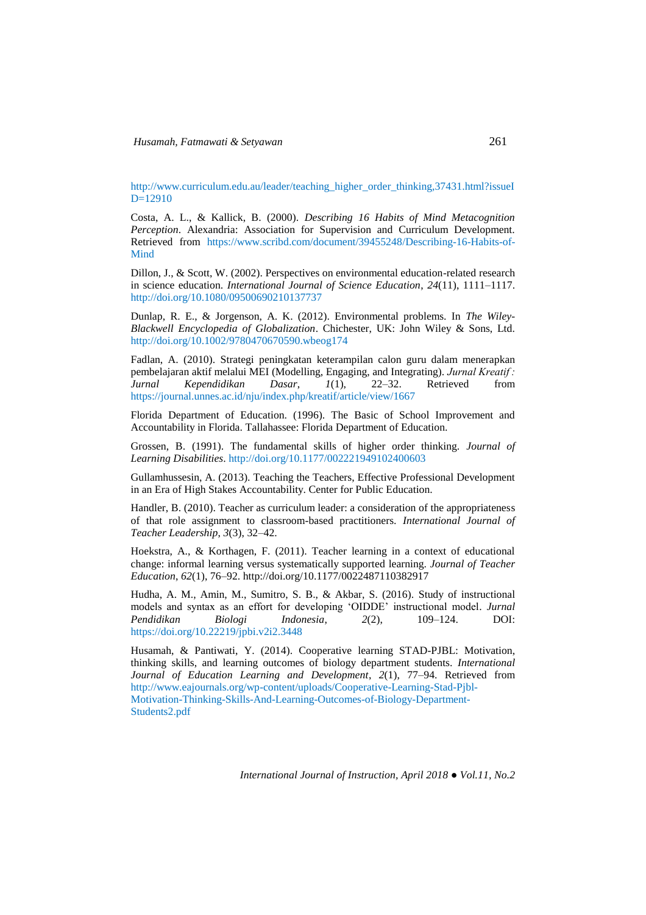http://www.curriculum.edu.au/leader/teaching\_higher\_order\_thinking,37431.html?issueI D=12910

Costa, A. L., & Kallick, B. (2000). *Describing 16 Habits of Mind Metacognition Perception*. Alexandria: Association for Supervision and Curriculum Development. Retrieved from https://www.scribd.com/document/39455248/Describing-16-Habits-of-Mind

Dillon, J., & Scott, W. (2002). Perspectives on environmental education-related research in science education. *International Journal of Science Education*, *24*(11), 1111–1117. http://doi.org/10.1080/09500690210137737

Dunlap, R. E., & Jorgenson, A. K. (2012). Environmental problems. In *The Wiley-Blackwell Encyclopedia of Globalization*. Chichester, UK: John Wiley & Sons, Ltd. http://doi.org/10.1002/9780470670590.wbeog174

Fadlan, A. (2010). Strategi peningkatan keterampilan calon guru dalam menerapkan pembelajaran aktif melalui MEI (Modelling, Engaging, and Integrating). *Jurnal Kreatif : Jurnal Kependidikan Dasar*, *1*(1), 22–32. Retrieved from https://journal.unnes.ac.id/nju/index.php/kreatif/article/view/1667

Florida Department of Education. (1996). The Basic of School Improvement and Accountability in Florida. Tallahassee: Florida Department of Education.

Grossen, B. (1991). The fundamental skills of higher order thinking. *Journal of Learning Disabilities*. http://doi.org/10.1177/002221949102400603

Gullamhussesin, A. (2013). Teaching the Teachers, Effective Professional Development in an Era of High Stakes Accountability. Center for Public Education.

Handler, B. (2010). Teacher as curriculum leader: a consideration of the appropriateness of that role assignment to classroom-based practitioners. *International Journal of Teacher Leadership*, *3*(3), 32–42.

Hoekstra, A., & Korthagen, F. (2011). Teacher learning in a context of educational change: informal learning versus systematically supported learning. *Journal of Teacher Education*, *62*(1), 76–92. http://doi.org/10.1177/0022487110382917

Hudha, A. M., Amin, M., Sumitro, S. B., & Akbar, S. (2016). [Study of instructional](http://ejournal.umm.ac.id/index.php/jpbi/article/view/3448)  [models and syntax as an effort for developing 'OIDDE' instructional model.](http://ejournal.umm.ac.id/index.php/jpbi/article/view/3448) *Jurnal Pendidikan Biologi Indonesia*, *2*(2), 109–124. DOI: <https://doi.org/10.22219/jpbi.v2i2.3448>

Husamah, & Pantiwati, Y. (2014). Cooperative learning STAD-PJBL: Motivation, thinking skills, and learning outcomes of biology department students. *International Journal of Education Learning and Development*, *2*(1), 77–94. Retrieved from http://www.eajournals.org/wp-content/uploads/Cooperative-Learning-Stad-Pjbl-Motivation-Thinking-Skills-And-Learning-Outcomes-of-Biology-Department-Students2.pdf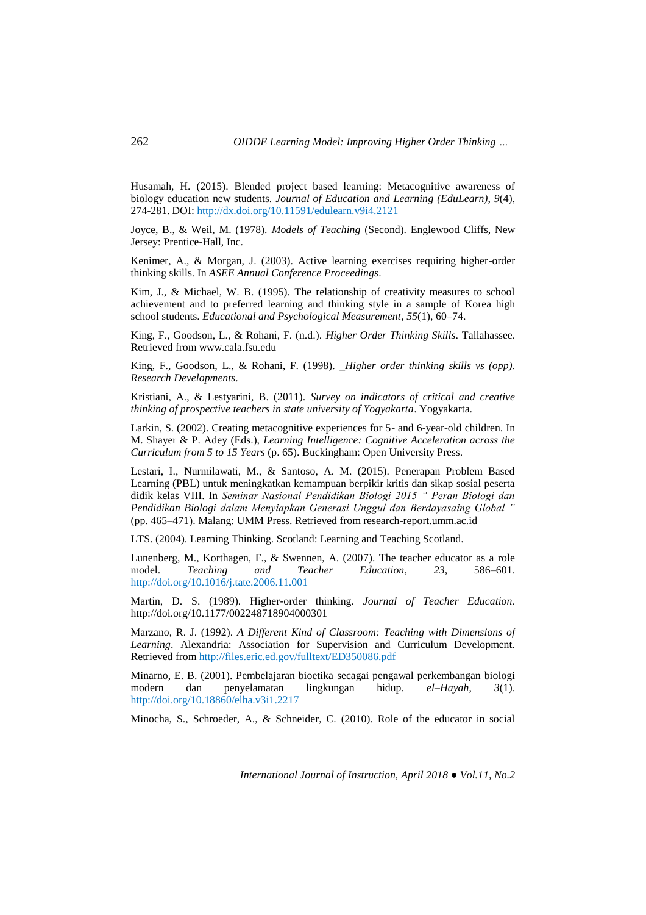Husamah, H. (2015). Blended project based learning: Metacognitive awareness of biology education new students. *Journal of Education and Learning (EduLearn)*, *9*(4), 274-281. DOI[: http://dx.doi.org/10.11591/edulearn.v9i4.2121](http://dx.doi.org/10.11591/edulearn.v9i4.2121)

Joyce, B., & Weil, M. (1978). *Models of Teaching* (Second). Englewood Cliffs, New Jersey: Prentice-Hall, Inc.

Kenimer, A., & Morgan, J. (2003). Active learning exercises requiring higher-order thinking skills. In *ASEE Annual Conference Proceedings*.

Kim, J., & Michael, W. B. (1995). The relationship of creativity measures to school achievement and to preferred learning and thinking style in a sample of Korea high school students. *Educational and Psychological Measurement*, *55*(1), 60–74.

King, F., Goodson, L., & Rohani, F. (n.d.). *Higher Order Thinking Skills*. Tallahassee. Retrieved from www.cala.fsu.edu

King, F., Goodson, L., & Rohani, F. (1998). *\_Higher order thinking skills vs (opp)*. *Research Developments*.

Kristiani, A., & Lestyarini, B. (2011). *Survey on indicators of critical and creative thinking of prospective teachers in state university of Yogyakarta*. Yogyakarta.

Larkin, S. (2002). Creating metacognitive experiences for 5- and 6-year-old children. In M. Shayer & P. Adey (Eds.), *Learning Intelligence: Cognitive Acceleration across the Curriculum from 5 to 15 Years* (p. 65). Buckingham: Open University Press.

Lestari, I., Nurmilawati, M., & Santoso, A. M. (2015). Penerapan Problem Based Learning (PBL) untuk meningkatkan kemampuan berpikir kritis dan sikap sosial peserta didik kelas VIII. In *Seminar Nasional Pendidikan Biologi 2015 " Peran Biologi dan Pendidikan Biologi dalam Menyiapkan Generasi Unggul dan Berdayasaing Global "* (pp. 465–471). Malang: UMM Press. Retrieved from research-report.umm.ac.id

LTS. (2004). Learning Thinking. Scotland: Learning and Teaching Scotland.

Lunenberg, M., Korthagen, F., & Swennen, A. (2007). The teacher educator as a role model. *Teaching and Teacher Education*, *23*, 586–601. http://doi.org/10.1016/j.tate.2006.11.001

Martin, D. S. (1989). Higher-order thinking. *Journal of Teacher Education*. http://doi.org/10.1177/002248718904000301

Marzano, R. J. (1992). *A Different Kind of Classroom: Teaching with Dimensions of Learning*. Alexandria: Association for Supervision and Curriculum Development. Retrieved from http://files.eric.ed.gov/fulltext/ED350086.pdf

Minarno, E. B. (2001). Pembelajaran bioetika secagai pengawal perkembangan biologi modern dan penyelamatan lingkungan hidup. *el–Hayah*, *3*(1). http://doi.org/10.18860/elha.v3i1.2217

Minocha, S., Schroeder, A., & Schneider, C. (2010). Role of the educator in social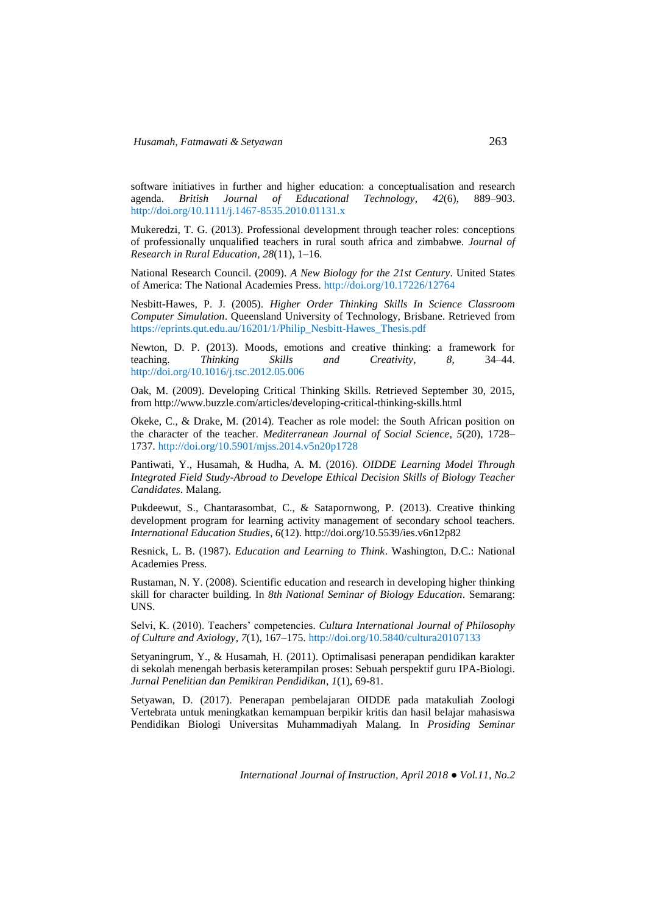software initiatives in further and higher education: a conceptualisation and research agenda. *British Journal of Educational Technology*, *42*(6), 889–903. http://doi.org/10.1111/j.1467-8535.2010.01131.x

Mukeredzi, T. G. (2013). Professional development through teacher roles: conceptions of professionally unqualified teachers in rural south africa and zimbabwe. *Journal of Research in Rural Education*, *28*(11), 1–16.

National Research Council. (2009). *A New Biology for the 21st Century*. United States of America: The National Academies Press. http://doi.org/10.17226/12764

Nesbitt-Hawes, P. J. (2005). *Higher Order Thinking Skills In Science Classroom Computer Simulation*. Queensland University of Technology, Brisbane. Retrieved from https://eprints.qut.edu.au/16201/1/Philip\_Nesbitt-Hawes\_Thesis.pdf

Newton, D. P. (2013). Moods, emotions and creative thinking: a framework for teaching. *Thinking Skills and Creativity*, *8*, 34–44. http://doi.org/10.1016/j.tsc.2012.05.006

Oak, M. (2009). Developing Critical Thinking Skills. Retrieved September 30, 2015, from http://www.buzzle.com/articles/developing-critical-thinking-skills.html

Okeke, C., & Drake, M. (2014). Teacher as role model: the South African position on the character of the teacher. *Mediterranean Journal of Social Science*, *5*(20), 1728– 1737. http://doi.org/10.5901/mjss.2014.v5n20p1728

Pantiwati, Y., Husamah, & Hudha, A. M. (2016). *OIDDE Learning Model Through Integrated Field Study-Abroad to Develope Ethical Decision Skills of Biology Teacher Candidates*. Malang.

Pukdeewut, S., Chantarasombat, C., & Satapornwong, P. (2013). Creative thinking development program for learning activity management of secondary school teachers. *International Education Studies*, *6*(12). http://doi.org/10.5539/ies.v6n12p82

Resnick, L. B. (1987). *Education and Learning to Think*. Washington, D.C.: National Academies Press.

Rustaman, N. Y. (2008). Scientific education and research in developing higher thinking skill for character building. In *8th National Seminar of Biology Education*. Semarang: UNS.

Selvi, K. (2010). Teachers' competencies. *Cultura International Journal of Philosophy of Culture and Axiology*, *7*(1), 167–175. http://doi.org/10.5840/cultura20107133

Setyaningrum, Y., & Husamah, H. (2011). Optimalisasi penerapan pendidikan karakter di sekolah menengah berbasis keterampilan proses: Sebuah perspektif guru IPA-Biologi. *Jurnal Penelitian dan Pemikiran Pendidikan*, *1*(1), 69-81.

Setyawan, D. (2017). Penerapan pembelajaran OIDDE pada matakuliah Zoologi Vertebrata untuk meningkatkan kemampuan berpikir kritis dan hasil belajar mahasiswa Pendidikan Biologi Universitas Muhammadiyah Malang. In *Prosiding Seminar*